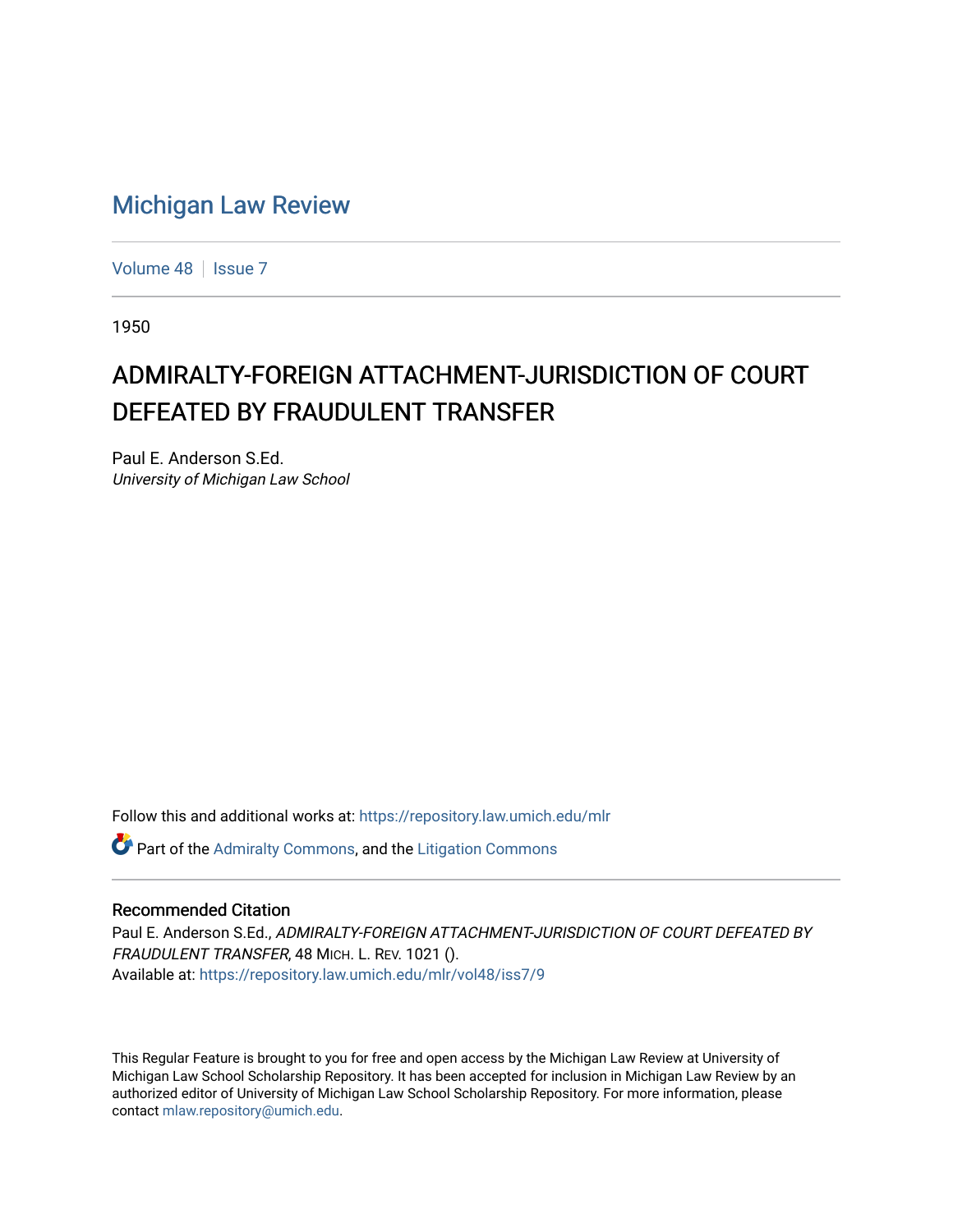# [Michigan Law Review](https://repository.law.umich.edu/mlr)

[Volume 48](https://repository.law.umich.edu/mlr/vol48) | [Issue 7](https://repository.law.umich.edu/mlr/vol48/iss7)

1950

# ADMIRALTY-FOREIGN ATTACHMENT-JURISDICTION OF COURT DEFEATED BY FRAUDULENT TRANSFER

Paul E. Anderson S.Ed. University of Michigan Law School

Follow this and additional works at: [https://repository.law.umich.edu/mlr](https://repository.law.umich.edu/mlr?utm_source=repository.law.umich.edu%2Fmlr%2Fvol48%2Fiss7%2F9&utm_medium=PDF&utm_campaign=PDFCoverPages) 

Part of the [Admiralty Commons](http://network.bepress.com/hgg/discipline/580?utm_source=repository.law.umich.edu%2Fmlr%2Fvol48%2Fiss7%2F9&utm_medium=PDF&utm_campaign=PDFCoverPages), and the [Litigation Commons](http://network.bepress.com/hgg/discipline/910?utm_source=repository.law.umich.edu%2Fmlr%2Fvol48%2Fiss7%2F9&utm_medium=PDF&utm_campaign=PDFCoverPages)

#### Recommended Citation

Paul E. Anderson S.Ed., ADMIRALTY-FOREIGN ATTACHMENT-JURISDICTION OF COURT DEFEATED BY FRAUDULENT TRANSFER, 48 MICH. L. REV. 1021 (). Available at: [https://repository.law.umich.edu/mlr/vol48/iss7/9](https://repository.law.umich.edu/mlr/vol48/iss7/9?utm_source=repository.law.umich.edu%2Fmlr%2Fvol48%2Fiss7%2F9&utm_medium=PDF&utm_campaign=PDFCoverPages)

This Regular Feature is brought to you for free and open access by the Michigan Law Review at University of Michigan Law School Scholarship Repository. It has been accepted for inclusion in Michigan Law Review by an authorized editor of University of Michigan Law School Scholarship Repository. For more information, please contact [mlaw.repository@umich.edu](mailto:mlaw.repository@umich.edu).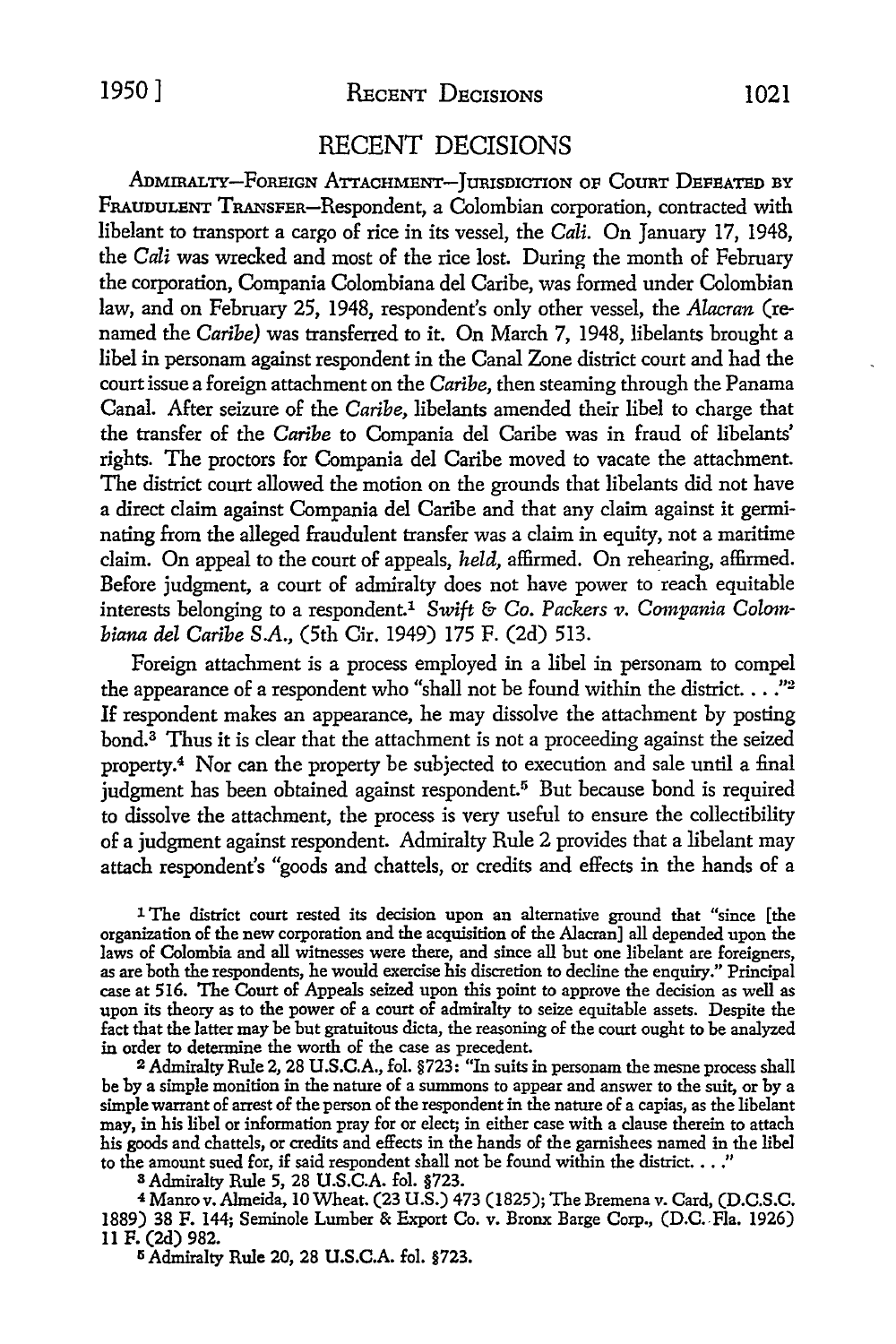## 1950] REcENT DECISIONS 1021

### RECENT DECISIONS

ADMIRALTY-FOREIGN ATTACHMENT-JURISDICTION OF COURT DEFEATED BY FRAUDULENT TRANSFER-Respondent, a Colombian corporation, contracted with libelant to transport a cargo of rice in its vessel, the *Cali.* On January 17, 1948, the *Cali* was wrecked and most of the rice lost. During the month of February the corporation, Compania Colombiana del Caribe, was formed under Colombian law, and on February 25, 1948, respondent's only other vessel, the *Alacran* (renamed the *Caribe)* was transferred to it. On March 7, 1948, libelants brought a libel in personam against respondent in the Canal Zone district court and had the court issue a foreign attachment on the *Caribe,* then steaming through the Panama Canal. After seizure of the *Caribe,* libelants amended their libel to charge that the transfer of the *Caribe* to Compania del Caribe was in fraud of libelants' rights. The proctors for Compania del Caribe moved to vacate the attachment. The district court allowed the motion on the grounds that libelants did not have a direct claim against Compania del Caribe and that any claim against it germinating from the alleged fraudulent transfer was a claim in equity, not a maritime claim. On appeal to the court of appeals, *held,* affirmed. On rehearing, affirmed. Before judgment, a court of admiralty does not have power to reach equitable interests belonging to a respondent.<sup>1</sup> Swift & Co. Packers v. Compania Colom*biana del Caribe SA.,* (5th Cir. 1949) 175 F. (2d) 513.

Foreign attachment is a process employed in a libel in personam to compel the appearance of a respondent who "shall not be found within the district ... *. "*<sup>2</sup> If respondent makes an appearance, he may dissolve the attachment by posting bond.<sup>3</sup> Thus it is clear that the attachment is not a proceeding against the seized property.<sup>4</sup> Nor can the property be subjected to execution and sale until a final judgment has been obtained against respondent.<sup>5</sup> But because bond is required to dissolve the attachment, the process is very useful to ensure the collectibility of a judgment against respondent. Admiralty Rule 2 provides that a libelant may attach respondent's "goods and chattels, or credits and effects in the hands of a

1 The district court rested its decision upon an alternative ground that "since [the organization of the new corporation and the acquisition of the Alacran] all depended upon the laws of Colombia and all witnesses were there, and since all but one libelant are foreigners, as are both the respondents, he would exercise his discretion to decline the enquiry." Principal case at 516. The Court of Appeals seized upon this point to approve the decision as well as upon its theory as to the power of a court of admiralty to seize equitable assets. Despite the fact that the latter may be but gratuitous dicta, the reasoning of the court ought to be analyzed in order to determine the worth of the case as precedent.

<sup>2</sup>Admiralty Rule 2, 28 U .S.C.A., fol. §723: "In suits in personam the mesne process shall be by a simple monition in the nature of a summons to appear and answer to the suit, or by a simple warrant of arrest of the person of the respondent in the nature of a capias, as the libelant may, in his libel or information pray for or elect; in either case with a clause therein to attach his goods and chattels, or credits and effects in the hands of the garnishees named in the libel to the amount sued for, if said respondent shall not be found within the district.  $\ldots$ ."

BAdmiralty Rule 5, 28 U.S.C.A. fol. §723.

<sup>4</sup>Manrov. Almeida, 10 Wheat. (23 U.S.) 473 (1825); The Bremena v. Card, (D.C.S.C. 1889) 38 F. 144; Seminole Lumber & Export Co. v. Bronx Barge Corp., (D.C. Fla. 1926) 11 F. (2d) 982.

<sup>5</sup> Admiralty Rule 20, 28 U.S.C.A. fol. §723.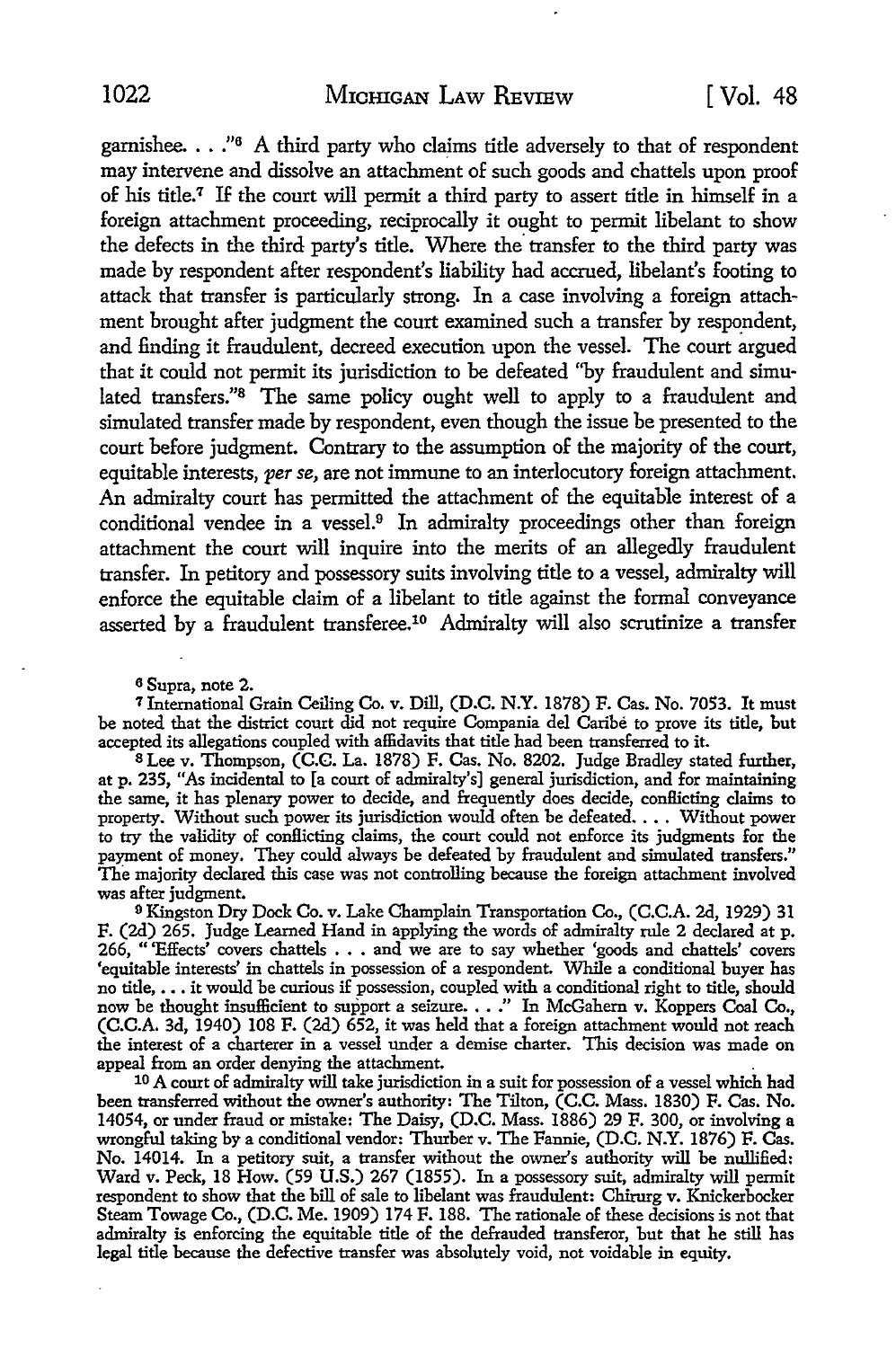garnishee.  $\ldots$ ."<sup>6</sup> A third party who claims title adversely to that of respondent may intervene and dissolve an attachment of such goods and chattels upon proof of his title.<sup>7</sup> If the court will permit a third party to assert title in himself in a foreign attachment proceeding, reciprocally it ought to permit libelant to show the defects in the third party's title. Where the transfer to the third party was made by respondent after respondent's liability had accrued, libelant's footing to attack that transfer is particularly strong. In a case involving a foreign attachment brought after judgment the court examined such a transfer by respondent, and finding it fraudulent, decreed execution upon the vessel. The court argued that it could not permit its jurisdiction to be defeated "by fraudulent and simulated transfers.''8 The same policy ought well to apply to a fraudulent and simulated transfer made by respondent, even though the issue be presented to the court before judgment. Contrary to the assumption of the majority of the court, equitable interests, *per se,* are not immune to an interlocutory foreign attachment. An admiralty court has permitted the attachment of the equitable interest of a conditional vendee in a vessel.9 In admiralty proceedings other than foreign attachment the court will inquire into the merits of an allegedly fraudulent transfer. In petitory and possessory suits involving title to a vessel, admiralty will enforce the equitable claim of a libelant to title against the formal conveyance asserted by a fraudulent transferee.10 Admiralty will also scrutinize a transfer

6 Supra, note 2.

<sup>7</sup>International Grain Ceiling Co. v. Dill, (D.C. N.Y. 1878) F. Cas. No. 7053. It must be noted that the district court did not require Compania del Caribe to prove its title, but accepted its allegations coupled with affidavits that title had been transferred to it.

8 Lee v. Thompson, (C.C. La. 1878) F. Cas. No. 8202. Judge Bradley stated further, at p. 235, "As incidental to [a court of admiralty's] general jurisdiction, and for maintaining the same, it has plenary power to decide, and frequently does decide, conflicting claims to property. Without such power its jurisdiction would often be defeated. • • . Without power to try the validity of conflicting claims, the court could not enforce its judgments for the payment of money. They could always be defeated by fraudulent and simulated transfers." The majority declared this case was not controlling because the foreign attachment involved was after judgment.

<sup>9</sup>Kingston Dry Dock Co. v. Lake Champlain Transportation Co., (C.C.A. 2d, 1929) 31 F. (2d) 265. Judge Learned Hand in applying the words of admiralty rule 2 declared at p. 266, "'Effects' covers chattels ••• and we are to say whether 'goods and chattels' covers 'equitable interests' in chattels in possession of a respondent. While a conditional buyer has no title, ••• it would be curious if possession, coupled with a conditional right to title, should now be thought insufficient to support a seizure. . . . " In McGahern v. Koppers Coal Co., (C.C.A. 3d, 1940) 108 F. (2d) 652, it was held that a foreign attachment would not reach the interest of a charterer in a vessel under a demise charter. This decision was made on appeal from an order denying the attachment. .

10 A court of admiralty will take jurisdiction in a suit for possession of a vessel which had been transferred without the owner's authority: The Tilton, (C.C. Mass. 1830) F. Cas. No. 14054, or under fraud or mistake: The Daisy, (D.C. Mass. 1886) 29 F. 300, or involving a wrongful taking by a conditional vendor: Thurber v. The Fannie, (D.C. N.Y. 1876) F. Cas. No. 14014. In a petitory suit, a transfer without the owner's authority will be nullified: Ward v. Peck, 18 How. (59 U.S.) 267 (1855). In a possessory suit, admiralty will permit respondent to show that the bill of sale to libelant was fraudulent: Chirurg v. Knickerbocker Steam Towage Co., (D.C. Me. 1909) 174 F. 188. The rationale of these decisions is not that admiralty is enforcing the equitable title of the defrauded transferor, but that he still has legal title because the defective transfer was absolutely void, not voidable in equity.